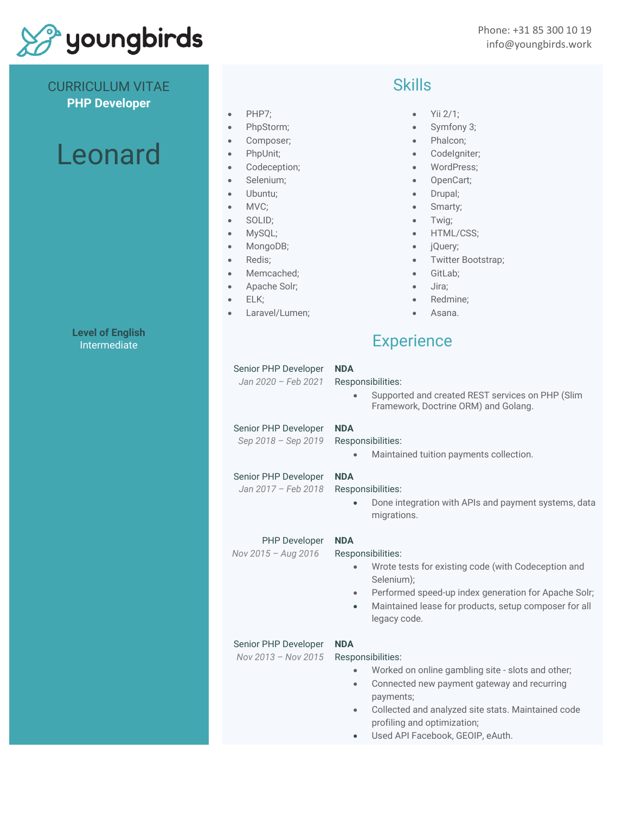

#### CURRICULUM VITAE **PHP Developer**

# Leonard

• PHP7;

- PhpStorm;
- Composer;
- PhpUnit;
- Codeception;
- Selenium;
- Ubuntu;
- MVC;
- SOLID;
- MySQL;
- MongoDB;
- Redis;
- Memcached;
- Apache Solr;
- ELK;
- Laravel/Lumen;

## Skills

- Yii 2/1;
- Symfony 3;
- Phalcon;
- CodeIgniter;
- WordPress;
- OpenCart;
- Drupal;
- Smarty;
- Twig;
- HTML/CSS;
- jQuery;
- Twitter Bootstrap;
- GitLab;
- Jira;
- Redmine;
- Asana.

### **Experience**

| Senior PHP Developer<br>Jan 2020 - Feb 2021 | <b>NDA</b><br>Responsibilities:<br>Supported and created REST services on PHP (Slim<br>Framework, Doctrine ORM) and Golang.                                                                                                                                     |
|---------------------------------------------|-----------------------------------------------------------------------------------------------------------------------------------------------------------------------------------------------------------------------------------------------------------------|
| Senior PHP Developer<br>Sep 2018 - Sep 2019 | <b>NDA</b><br>Responsibilities:<br>Maintained tuition payments collection.                                                                                                                                                                                      |
| Senior PHP Developer<br>Jan 2017 - Feb 2018 | <b>NDA</b><br>Responsibilities:<br>Done integration with APIs and payment systems, data<br>migrations.                                                                                                                                                          |
| <b>PHP Developer</b><br>Nov 2015 - Aug 2016 | <b>NDA</b><br>Responsibilities:<br>Wrote tests for existing code (with Codeception and<br>Selenium);<br>Performed speed-up index generation for Apache Solr;<br>$\bullet$<br>Maintained lease for products, setup composer for all<br>$\bullet$<br>legacy code. |
| Senior PHP Developer<br>Nov 2013 - Nov 2015 | <b>NDA</b><br>Responsibilities:                                                                                                                                                                                                                                 |

- Worked on online gambling site slots and other;
- Connected new payment gateway and recurring payments;
- Collected and analyzed site stats. Maintained code profiling and optimization;
- Used API Facebook, GEOIP, eAuth.

#### **Level of English** Intermediate